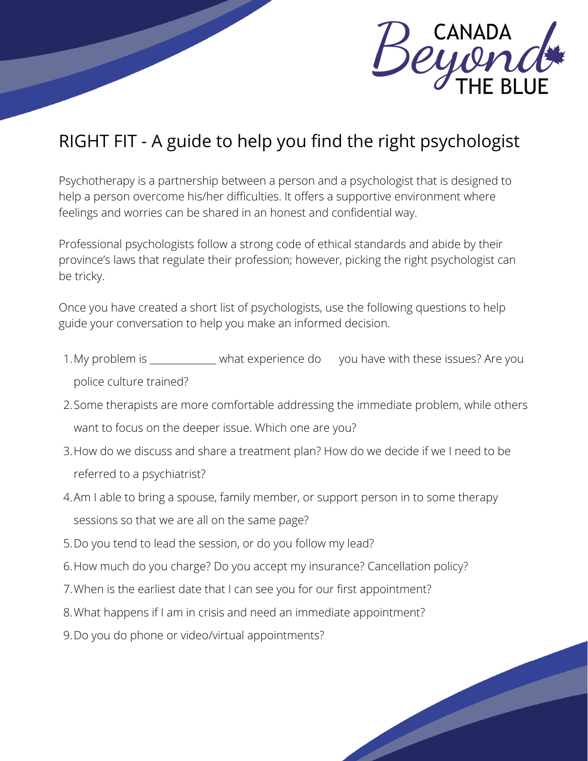

## RIGHT FIT - A guide to help you find the right psychologist

Psychotherapy is a partnership between a person and a psychologist that is designed to help a person overcome his/her difficulties. It offers a supportive environment where feelings and worries can be shared in an honest and confidential way.

Professional psychologists follow a strong code of ethical standards and abide by their province's laws that regulate their profession; however, picking the right psychologist can be tricky.

Once you have created a short list of psychologists, use the following questions to help guide your conversation to help you make an informed decision.

- 1. My problem is \_\_\_\_\_\_\_\_\_\_\_\_\_ what experience do you have with these issues? Are you police culture trained?
- 2. Some therapists are more comfortable addressing the immediate problem, while others want to focus on the deeper issue. Which one are you?
- 3. How do we discuss and share a treatment plan? How do we decide if we I need to be referred to a psychiatrist?
- Am I able to bring a spouse, family member, or support person in to some therapy 4. sessions so that we are all on the same page?
- 5. Do you tend to lead the session, or do you follow my lead?
- 6. How much do you charge? Do you accept my insurance? Cancellation policy?
- 7. When is the earliest date that I can see you for our first appointment?
- 8. What happens if I am in crisis and need an immediate appointment?
- 9. Do you do phone or video/virtual appointments?